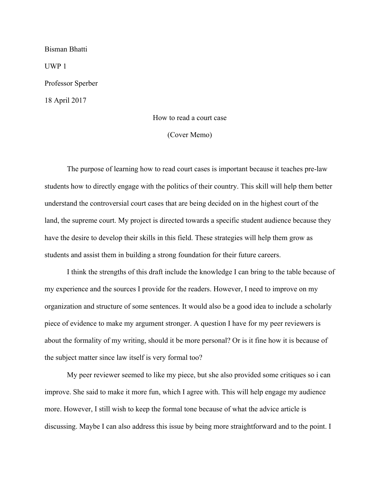Bisman Bhatti UWP 1 Professor Sperber 18 April 2017

# How to read a court case

(Cover Memo)

The purpose of learning how to read court cases is important because it teaches pre-law students how to directly engage with the politics of their country. This skill will help them better understand the controversial court cases that are being decided on in the highest court of the land, the supreme court. My project is directed towards a specific student audience because they have the desire to develop their skills in this field. These strategies will help them grow as students and assist them in building a strong foundation for their future careers.

I think the strengths of this draft include the knowledge I can bring to the table because of my experience and the sources I provide for the readers. However, I need to improve on my organization and structure of some sentences. It would also be a good idea to include a scholarly piece of evidence to make my argument stronger. A question I have for my peer reviewers is about the formality of my writing, should it be more personal? Or is it fine how it is because of the subject matter since law itself is very formal too?

My peer reviewer seemed to like my piece, but she also provided some critiques so i can improve. She said to make it more fun, which I agree with. This will help engage my audience more. However, I still wish to keep the formal tone because of what the advice article is discussing. Maybe I can also address this issue by being more straightforward and to the point. I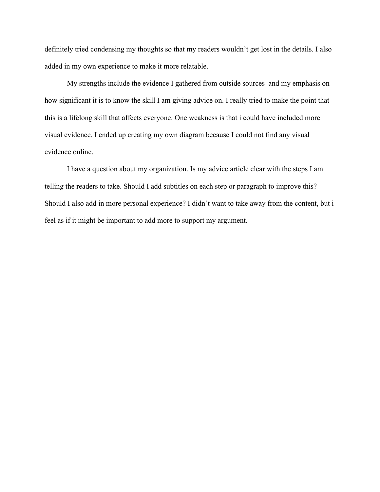definitely tried condensing my thoughts so that my readers wouldn't get lost in the details. I also added in my own experience to make it more relatable.

My strengths include the evidence I gathered from outside sources and my emphasis on how significant it is to know the skill I am giving advice on. I really tried to make the point that this is a lifelong skill that affects everyone. One weakness is that i could have included more visual evidence. I ended up creating my own diagram because I could not find any visual evidence online.

I have a question about my organization. Is my advice article clear with the steps I am telling the readers to take. Should I add subtitles on each step or paragraph to improve this? Should I also add in more personal experience? I didn't want to take away from the content, but i feel as if it might be important to add more to support my argument.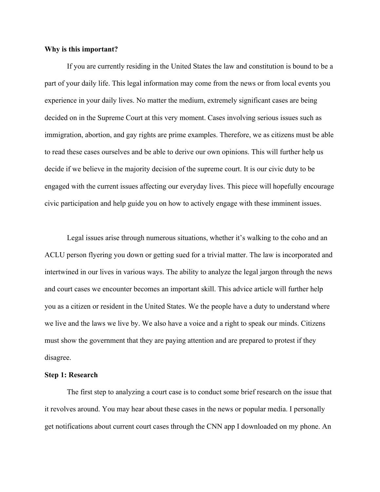#### **Why is this important?**

If you are currently residing in the United States the law and constitution is bound to be a part of your daily life. This legal information may come from the news or from local events you experience in your daily lives. No matter the medium, extremely significant cases are being decided on in the Supreme Court at this very moment. Cases involving serious issues such as immigration, abortion, and gay rights are prime examples. Therefore, we as citizens must be able to read these cases ourselves and be able to derive our own opinions. This will further help us decide if we believe in the majority decision of the supreme court. It is our civic duty to be engaged with the current issues affecting our everyday lives. This piece will hopefully encourage civic participation and help guide you on how to actively engage with these imminent issues.

Legal issues arise through numerous situations, whether it's walking to the coho and an ACLU person flyering you down or getting sued for a trivial matter. The law is incorporated and intertwined in our lives in various ways. The ability to analyze the legal jargon through the news and court cases we encounter becomes an important skill. This advice article will further help you as a citizen or resident in the United States. We the people have a duty to understand where we live and the laws we live by. We also have a voice and a right to speak our minds. Citizens must show the government that they are paying attention and are prepared to protest if they disagree.

#### **Step 1: Research**

The first step to analyzing a court case is to conduct some brief research on the issue that it revolves around. You may hear about these cases in the news or popular media. I personally get notifications about current court cases through the CNN app I downloaded on my phone. An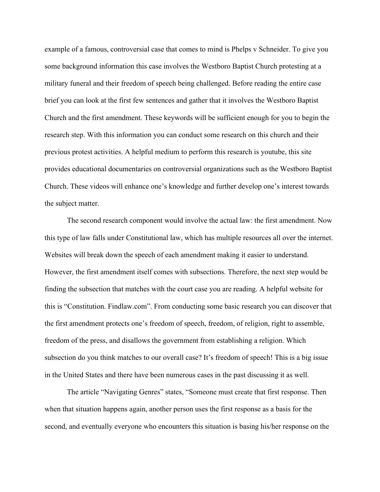example of a famous, controversial case that comes to mind is Phelps v Schneider. To give you some background information this case involves the Westboro Baptist Church protesting at a military funeral and their freedom of speech being challenged. Before reading the entire case brief you can look at the first few sentences and gather that it involves the Westboro Baptist Church and the first amendment. These keywords will be sufficient enough for you to begin the research step. With this information you can conduct some research on this church and their previous protest activities. A helpful medium to perform this research is youtube, this site provides educational documentaries on controversial organizations such as the Westboro Baptist Church. These videos will enhance one's knowledge and further develop one's interest towards the subject matter.

The second research component would involve the actual law: the first amendment. Now this type of law falls under Constitutional law, which has multiple resources all over the internet. Websites will break down the speech of each amendment making it easier to understand. However, the first amendment itself comes with subsections. Therefore, the next step would be finding the subsection that matches with the court case you are reading. A helpful website for this is "Constitution. Findlaw.com". From conducting some basic research you can discover that the first amendment protects one's freedom of speech, freedom, of religion, right to assemble, freedom of the press, and disallows the government from establishing a religion. Which subsection do you think matches to our overall case? It's freedom of speech! This is a big issue in the United States and there have been numerous cases in the past discussing it as well.

The article "Navigating Genres" states, "Someone must create that first response. Then when that situation happens again, another person uses the first response as a basis for the second, and eventually everyone who encounters this situation is basing his/her response on the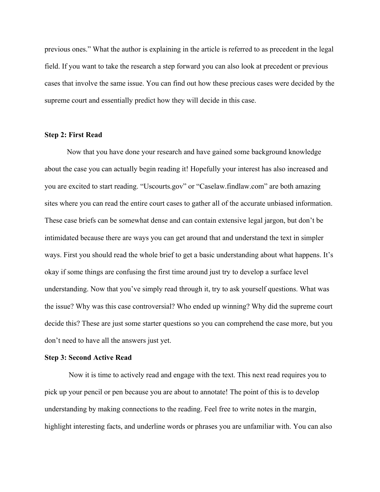previous ones." What the author is explaining in the article is referred to as precedent in the legal field. If you want to take the research a step forward you can also look at precedent or previous cases that involve the same issue. You can find out how these precious cases were decided by the supreme court and essentially predict how they will decide in this case.

### **Step 2: First Read**

Now that you have done your research and have gained some background knowledge about the case you can actually begin reading it! Hopefully your interest has also increased and you are excited to start reading. "Uscourts.gov" or "Caselaw.findlaw.com" are both amazing sites where you can read the entire court cases to gather all of the accurate unbiased information. These case briefs can be somewhat dense and can contain extensive legal jargon, but don't be intimidated because there are ways you can get around that and understand the text in simpler ways. First you should read the whole brief to get a basic understanding about what happens. It's okay if some things are confusing the first time around just try to develop a surface level understanding. Now that you've simply read through it, try to ask yourself questions. What was the issue? Why was this case controversial? Who ended up winning? Why did the supreme court decide this? These are just some starter questions so you can comprehend the case more, but you don't need to have all the answers just yet.

### **Step 3: Second Active Read**

Now it is time to actively read and engage with the text. This next read requires you to pick up your pencil or pen because you are about to annotate! The point of this is to develop understanding by making connections to the reading. Feel free to write notes in the margin, highlight interesting facts, and underline words or phrases you are unfamiliar with. You can also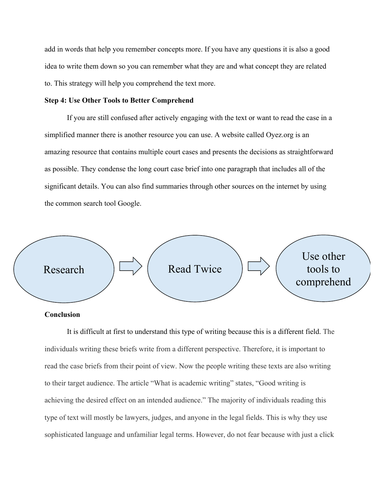add in words that help you remember concepts more. If you have any questions it is also a good idea to write them down so you can remember what they are and what concept they are related to. This strategy will help you comprehend the text more.

## **Step 4: Use Other Tools to Better Comprehend**

If you are still confused after actively engaging with the text or want to read the case in a simplified manner there is another resource you can use. A website called Oyez.org is an amazing resource that contains multiple court cases and presents the decisions as straightforward as possible. They condense the long court case brief into one paragraph that includes all of the significant details. You can also find summaries through other sources on the internet by using the common search tool Google.



## **Conclusion**

It is difficult at first to understand this type of writing because this is a different field. The individuals writing these briefs write from a different perspective. Therefore, it is important to read the case briefs from their point of view. Now the people writing these texts are also writing to their target audience. The article "What is academic writing" states, "Good writing is achieving the desired effect on an intended audience." The majority of individuals reading this type of text will mostly be lawyers, judges, and anyone in the legal fields. This is why they use sophisticated language and unfamiliar legal terms. However, do not fear because with just a click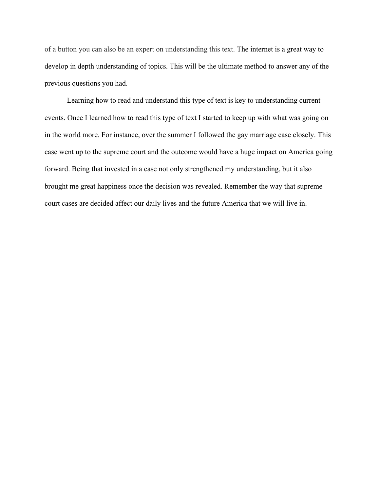of a button you can also be an expert on understanding this text. The internet is a great way to develop in depth understanding of topics. This will be the ultimate method to answer any of the previous questions you had.

Learning how to read and understand this type of text is key to understanding current events. Once I learned how to read this type of text I started to keep up with what was going on in the world more. For instance, over the summer I followed the gay marriage case closely. This case went up to the supreme court and the outcome would have a huge impact on America going forward. Being that invested in a case not only strengthened my understanding, but it also brought me great happiness once the decision was revealed. Remember the way that supreme court cases are decided affect our daily lives and the future America that we will live in.